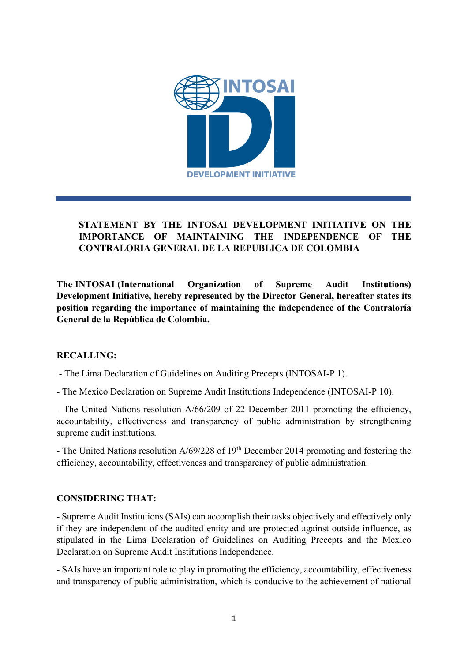

# **STATEMENT BY THE INTOSAI DEVELOPMENT INITIATIVE ON THE IMPORTANCE OF MAINTAINING THE INDEPENDENCE OF THE CONTRALORIA GENERAL DE LA REPUBLICA DE COLOMBIA**

**The INTOSAI (International Organization of Supreme Audit Institutions) Development Initiative, hereby represented by the Director General, hereafter states its position regarding the importance of maintaining the independence of the Contraloría General de la República de Colombia.**

## **RECALLING:**

- The Lima Declaration of Guidelines on Auditing Precepts (INTOSAI-P 1).

- The Mexico Declaration on Supreme Audit Institutions Independence (INTOSAI-P 10).

- The United Nations resolution A/66/209 of 22 December 2011 promoting the efficiency, accountability, effectiveness and transparency of public administration by strengthening supreme audit institutions.

- The United Nations resolution  $A/69/228$  of  $19<sup>th</sup>$  December 2014 promoting and fostering the efficiency, accountability, effectiveness and transparency of public administration.

## **CONSIDERING THAT:**

- Supreme Audit Institutions (SAIs) can accomplish their tasks objectively and effectively only if they are independent of the audited entity and are protected against outside influence, as stipulated in the Lima Declaration of Guidelines on Auditing Precepts and the Mexico Declaration on Supreme Audit Institutions Independence.

- SAIs have an important role to play in promoting the efficiency, accountability, effectiveness and transparency of public administration, which is conducive to the achievement of national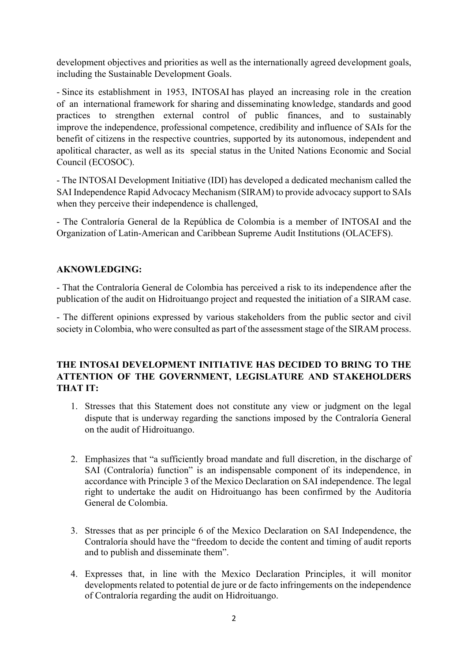development objectives and priorities as well as the internationally agreed development goals, including the Sustainable Development Goals.

- Since its establishment in 1953, INTOSAI has played an increasing role in the creation of an international framework for sharing and disseminating knowledge, standards and good practices to strengthen external control of public finances, and to sustainably improve the independence, professional competence, credibility and influence of SAIs for the benefit of citizens in the respective countries, supported by its autonomous, independent and apolitical character, as well as its special status in the United Nations Economic and Social Council (ECOSOC).

- The INTOSAI Development Initiative (IDI) has developed a dedicated mechanism called the SAI Independence Rapid Advocacy Mechanism (SIRAM) to provide advocacy support to SAIs when they perceive their independence is challenged,

- The Contraloría General de la República de Colombia is a member of INTOSAI and the Organization of Latin-American and Caribbean Supreme Audit Institutions (OLACEFS).

#### **AKNOWLEDGING:**

- That the Contraloría General de Colombia has perceived a risk to its independence after the publication of the audit on Hidroituango project and requested the initiation of a SIRAM case.

- The different opinions expressed by various stakeholders from the public sector and civil society in Colombia, who were consulted as part of the assessment stage of the SIRAM process.

#### **THE INTOSAI DEVELOPMENT INITIATIVE HAS DECIDED TO BRING TO THE ATTENTION OF THE GOVERNMENT, LEGISLATURE AND STAKEHOLDERS THAT IT:**

- 1. Stresses that this Statement does not constitute any view or judgment on the legal dispute that is underway regarding the sanctions imposed by the Contraloría General on the audit of Hidroituango.
- 2. Emphasizes that "a sufficiently broad mandate and full discretion, in the discharge of SAI (Contraloría) function" is an indispensable component of its independence, in accordance with Principle 3 of the Mexico Declaration on SAI independence. The legal right to undertake the audit on Hidroituango has been confirmed by the Auditoría General de Colombia.
- 3. Stresses that as per principle 6 of the Mexico Declaration on SAI Independence, the Contraloría should have the "freedom to decide the content and timing of audit reports and to publish and disseminate them".
- 4. Expresses that, in line with the Mexico Declaration Principles, it will monitor developments related to potential de jure or de facto infringements on the independence of Contraloría regarding the audit on Hidroituango.